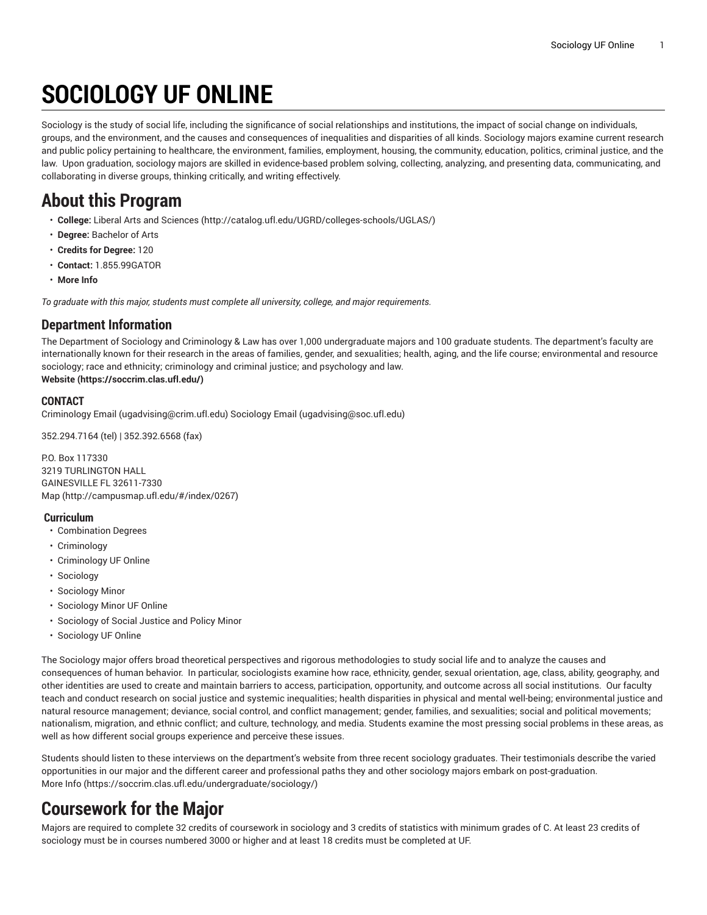# **SOCIOLOGY UF ONLINE**

Sociology is the study of social life, including the significance of social relationships and institutions, the impact of social change on individuals, groups, and the environment, and the causes and consequences of inequalities and disparities of all kinds. Sociology majors examine current research and public policy pertaining to healthcare, the environment, families, employment, housing, the community, education, politics, criminal justice, and the law. Upon graduation, sociology majors are skilled in evidence-based problem solving, collecting, analyzing, and presenting data, communicating, and collaborating in diverse groups, thinking critically, and writing effectively.

### **About this Program**

- **College:** Liberal Arts and [Sciences](http://catalog.ufl.edu/UGRD/colleges-schools/UGLAS/) ([http://catalog.ufl.edu/UGRD/colleges-schools/UGLAS/\)](http://catalog.ufl.edu/UGRD/colleges-schools/UGLAS/)
- **Degree:** Bachelor of Arts
- **Credits for Degree:** 120
- **Contact:** 1.855.99GATOR
- **More Info**

*To graduate with this major, students must complete all university, college, and major requirements.*

#### **Department Information**

The Department of Sociology and Criminology & Law has over 1,000 undergraduate majors and 100 graduate students. The department's faculty are internationally known for their research in the areas of families, gender, and sexualities; health, aging, and the life course; environmental and resource sociology; race and ethnicity; criminology and criminal justice; and psychology and law. **[Website](https://soccrim.clas.ufl.edu/) ([https://soccrim.clas.ufl.edu/\)](https://soccrim.clas.ufl.edu/)**

#### **CONTACT**

[Criminology Email](mailto:ugadvising@crim.ufl.edu) (<ugadvising@crim.ufl.edu>) [Sociology Email](mailto:ugadvising@soc.ufl.edu) (<ugadvising@soc.ufl.edu>)

352.294.7164 (tel) | 352.392.6568 (fax)

P.O. Box 117330 3219 TURLINGTON HALL GAINESVILLE FL 32611-7330 [Map](http://campusmap.ufl.edu/#/index/0267) ([http://campusmap.ufl.edu/#/index/0267\)](http://campusmap.ufl.edu/#/index/0267)

#### **Curriculum**

- Combination Degrees
- Criminology
- Criminology UF Online
- Sociology
- Sociology Minor
- Sociology Minor UF Online
- Sociology of Social Justice and Policy Minor
- Sociology UF Online

The Sociology major offers broad theoretical perspectives and rigorous methodologies to study social life and to analyze the causes and consequences of human behavior. In particular, sociologists examine how race, ethnicity, gender, sexual orientation, age, class, ability, geography, and other identities are used to create and maintain barriers to access, participation, opportunity, and outcome across all social institutions. Our faculty teach and conduct research on social justice and systemic inequalities; health disparities in physical and mental well-being; environmental justice and natural resource management; deviance, social control, and conflict management; gender, families, and sexualities; social and political movements; nationalism, migration, and ethnic conflict; and culture, technology, and media. Students examine the most pressing social problems in these areas, as well as how different social groups experience and perceive these issues.

Students should listen to these interviews on the department's website from three recent sociology graduates. Their testimonials describe the varied opportunities in our major and the different career and professional paths they and other sociology majors embark on post-graduation. [More](https://soccrim.clas.ufl.edu/undergraduate/sociology/) Info [\(https://soccrim.clas.ufl.edu/undergraduate/sociology/\)](https://soccrim.clas.ufl.edu/undergraduate/sociology/)

### **Coursework for the Major**

Majors are required to complete 32 credits of coursework in sociology and 3 credits of statistics with minimum grades of C. At least 23 credits of sociology must be in courses numbered 3000 or higher and at least 18 credits must be completed at UF.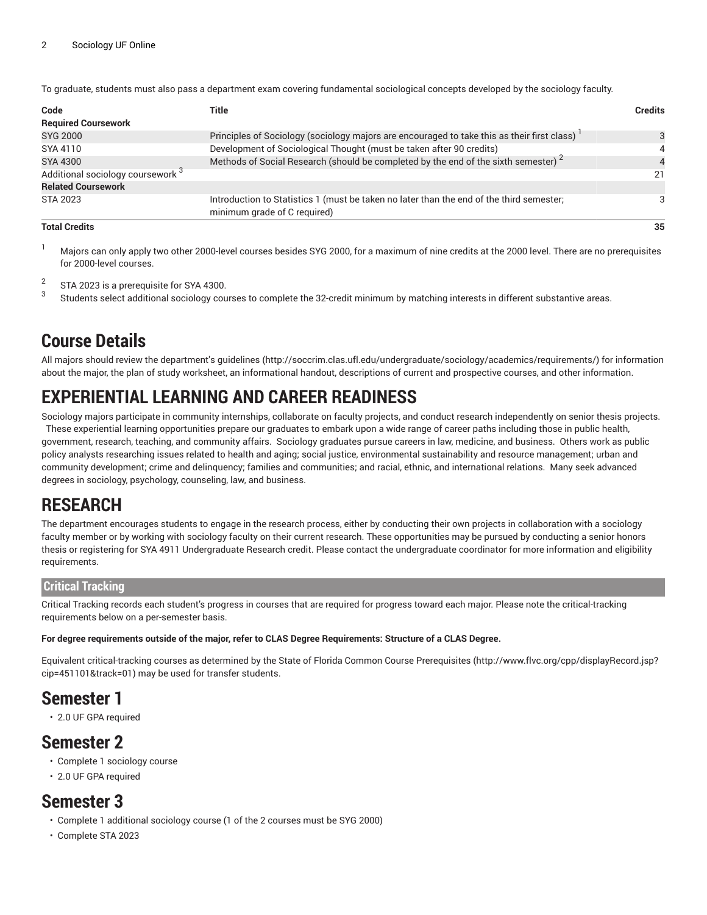To graduate, students must also pass a department exam covering fundamental sociological concepts developed by the sociology faculty.

| Code                                                                                                       | Title                                                                                                                    |    |  |  |
|------------------------------------------------------------------------------------------------------------|--------------------------------------------------------------------------------------------------------------------------|----|--|--|
| <b>Required Coursework</b>                                                                                 |                                                                                                                          |    |  |  |
| <b>SYG 2000</b>                                                                                            | Principles of Sociology (sociology majors are encouraged to take this as their first class)                              |    |  |  |
| SYA 4110                                                                                                   | Development of Sociological Thought (must be taken after 90 credits)                                                     |    |  |  |
| Methods of Social Research (should be completed by the end of the sixth semester) <sup>2</sup><br>SYA 4300 |                                                                                                                          |    |  |  |
| Additional sociology coursework <sup>3</sup>                                                               |                                                                                                                          | 21 |  |  |
| <b>Related Coursework</b>                                                                                  |                                                                                                                          |    |  |  |
| STA 2023                                                                                                   | Introduction to Statistics 1 (must be taken no later than the end of the third semester;<br>minimum grade of C required) |    |  |  |
| <b>Total Credits</b>                                                                                       |                                                                                                                          | 35 |  |  |

<sup>1</sup> Majors can only apply two other 2000-level courses besides SYG 2000, for a maximum of nine credits at the 2000 level. There are no prerequisites for 2000-level courses.

2 STA 2023 is a prerequisite for SYA 4300.

3 Students select additional sociology courses to complete the 32-credit minimum by matching interests in different substantive areas.

### **Course Details**

All majors should review the [department's](http://soccrim.clas.ufl.edu/undergraduate/sociology/academics/requirements/) guidelines ([http://soccrim.clas.ufl.edu/undergraduate/sociology/academics/requirements/\)](http://soccrim.clas.ufl.edu/undergraduate/sociology/academics/requirements/) for information about the major, the plan of study worksheet, an informational handout, descriptions of current and prospective courses, and other information.

### **EXPERIENTIAL LEARNING AND CAREER READINESS**

Sociology majors participate in community internships, collaborate on faculty projects, and conduct research independently on senior thesis projects. These experiential learning opportunities prepare our graduates to embark upon a wide range of career paths including those in public health, government, research, teaching, and community affairs. Sociology graduates pursue careers in law, medicine, and business. Others work as public policy analysts researching issues related to health and aging; social justice, environmental sustainability and resource management; urban and community development; crime and delinquency; families and communities; and racial, ethnic, and international relations. Many seek advanced degrees in sociology, psychology, counseling, law, and business.

### **RESEARCH**

The department encourages students to engage in the research process, either by conducting their own projects in collaboration with a sociology faculty member or by working with sociology faculty on their current research. These opportunities may be pursued by conducting a senior honors thesis or registering for SYA 4911 Undergraduate Research credit. Please contact the undergraduate coordinator for more information and eligibility requirements.

#### **Critical Tracking**

Critical Tracking records each student's progress in courses that are required for progress toward each major. Please note the critical-tracking requirements below on a per-semester basis.

#### For degree requirements outside of the major, refer to CLAS Degree Requirements: Structure of a CLAS Degree.

Equivalent critical-tracking courses as determined by the State of Florida Common Course [Prerequisites](http://www.flvc.org/cpp/displayRecord.jsp?cip=451101&track=01) ([http://www.flvc.org/cpp/displayRecord.jsp?](http://www.flvc.org/cpp/displayRecord.jsp?cip=451101&track=01) [cip=451101&track=01\)](http://www.flvc.org/cpp/displayRecord.jsp?cip=451101&track=01) may be used for transfer students.

### **Semester 1**

• 2.0 UF GPA required

### **Semester 2**

- Complete 1 sociology course
- 2.0 UF GPA required

#### **Semester 3**

- Complete 1 additional sociology course (1 of the 2 courses must be SYG 2000)
- Complete STA 2023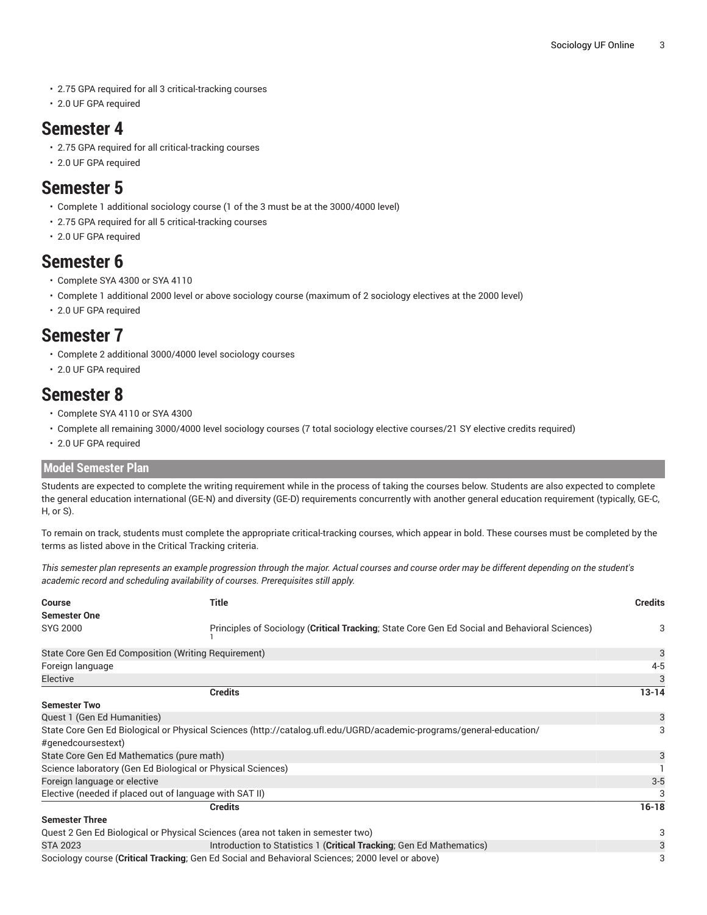- 2.75 GPA required for all 3 critical-tracking courses
- 2.0 UF GPA required

### **Semester 4**

- 2.75 GPA required for all critical-tracking courses
- 2.0 UF GPA required

### **Semester 5**

- Complete 1 additional sociology course (1 of the 3 must be at the 3000/4000 level)
- 2.75 GPA required for all 5 critical-tracking courses
- 2.0 UF GPA required

### **Semester 6**

- Complete SYA 4300 or SYA 4110
- Complete 1 additional 2000 level or above sociology course (maximum of 2 sociology electives at the 2000 level)
- 2.0 UF GPA required

### **Semester 7**

- Complete 2 additional 3000/4000 level sociology courses
- 2.0 UF GPA required

### **Semester 8**

- Complete SYA 4110 or SYA 4300
- Complete all remaining 3000/4000 level sociology courses (7 total sociology elective courses/21 SY elective credits required)
- 2.0 UF GPA required

#### **Model Semester Plan**

Students are expected to complete the writing requirement while in the process of taking the courses below. Students are also expected to complete the general education international (GE-N) and diversity (GE-D) requirements concurrently with another general education requirement (typically, GE-C, H, or S).

To remain on track, students must complete the appropriate critical-tracking courses, which appear in bold. These courses must be completed by the terms as listed above in the Critical Tracking criteria.

This semester plan represents an example progression through the major. Actual courses and course order may be different depending on the student's *academic record and scheduling availability of courses. Prerequisites still apply.*

| <b>Course</b><br><b>Semester One</b>                                                                                                      | Title                                                                                         |           |  |  |  |
|-------------------------------------------------------------------------------------------------------------------------------------------|-----------------------------------------------------------------------------------------------|-----------|--|--|--|
| <b>SYG 2000</b>                                                                                                                           | Principles of Sociology (Critical Tracking; State Core Gen Ed Social and Behavioral Sciences) |           |  |  |  |
| State Core Gen Ed Composition (Writing Requirement)                                                                                       |                                                                                               | 3         |  |  |  |
| Foreign language                                                                                                                          |                                                                                               | $4 - 5$   |  |  |  |
| Elective                                                                                                                                  |                                                                                               |           |  |  |  |
|                                                                                                                                           | <b>Credits</b>                                                                                | $13 - 14$ |  |  |  |
| <b>Semester Two</b>                                                                                                                       |                                                                                               |           |  |  |  |
| Quest 1 (Gen Ed Humanities)                                                                                                               |                                                                                               | 3         |  |  |  |
| State Core Gen Ed Biological or Physical Sciences (http://catalog.ufl.edu/UGRD/academic-programs/general-education/<br>#genedcoursestext) |                                                                                               |           |  |  |  |
| State Core Gen Ed Mathematics (pure math)                                                                                                 |                                                                                               | 3         |  |  |  |
| Science laboratory (Gen Ed Biological or Physical Sciences)                                                                               |                                                                                               |           |  |  |  |
| Foreign language or elective                                                                                                              |                                                                                               |           |  |  |  |
|                                                                                                                                           | Elective (needed if placed out of language with SAT II)                                       |           |  |  |  |
|                                                                                                                                           | <b>Credits</b>                                                                                | $16 - 18$ |  |  |  |
| <b>Semester Three</b>                                                                                                                     |                                                                                               |           |  |  |  |
|                                                                                                                                           | Quest 2 Gen Ed Biological or Physical Sciences (area not taken in semester two)               | 3         |  |  |  |
| <b>STA 2023</b>                                                                                                                           | Introduction to Statistics 1 (Critical Tracking; Gen Ed Mathematics)                          | 3         |  |  |  |
| Sociology course (Critical Tracking, Gen Ed Social and Behavioral Sciences; 2000 level or above)                                          |                                                                                               |           |  |  |  |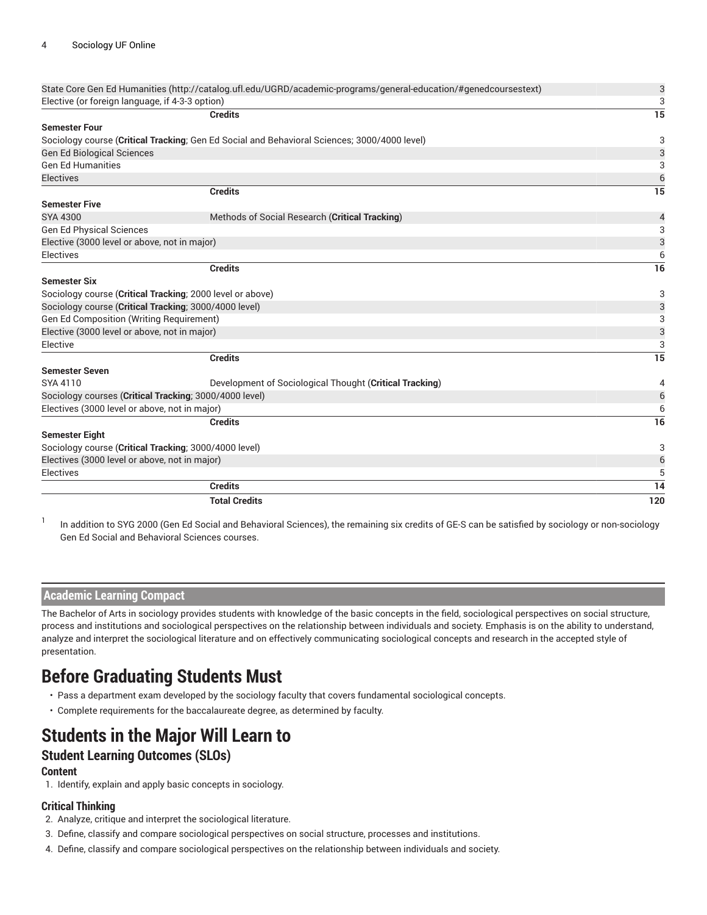| State Core Gen Ed Humanities (http://catalog.ufl.edu/UGRD/academic-programs/general-education/#genedcoursestext) |                                                         |                |  |
|------------------------------------------------------------------------------------------------------------------|---------------------------------------------------------|----------------|--|
| Elective (or foreign language, if 4-3-3 option)                                                                  |                                                         |                |  |
|                                                                                                                  | <b>Credits</b>                                          | 15             |  |
| <b>Semester Four</b>                                                                                             |                                                         |                |  |
| Sociology course (Critical Tracking; Gen Ed Social and Behavioral Sciences; 3000/4000 level)                     |                                                         |                |  |
| <b>Gen Ed Biological Sciences</b>                                                                                |                                                         | 3              |  |
| <b>Gen Ed Humanities</b>                                                                                         |                                                         | 3              |  |
| Electives                                                                                                        |                                                         | 6              |  |
|                                                                                                                  | <b>Credits</b>                                          | 15             |  |
| <b>Semester Five</b>                                                                                             |                                                         |                |  |
| SYA 4300                                                                                                         | Methods of Social Research (Critical Tracking)          | $\overline{4}$ |  |
| <b>Gen Ed Physical Sciences</b>                                                                                  |                                                         | 3              |  |
| Elective (3000 level or above, not in major)                                                                     |                                                         | 3              |  |
| Electives                                                                                                        |                                                         | 6              |  |
|                                                                                                                  | <b>Credits</b>                                          | 16             |  |
| <b>Semester Six</b>                                                                                              |                                                         |                |  |
| Sociology course (Critical Tracking; 2000 level or above)                                                        |                                                         | 3              |  |
| Sociology course (Critical Tracking; 3000/4000 level)                                                            |                                                         | 3              |  |
| Gen Ed Composition (Writing Requirement)                                                                         |                                                         | 3              |  |
| Elective (3000 level or above, not in major)                                                                     |                                                         | 3              |  |
| Elective                                                                                                         |                                                         | 3              |  |
|                                                                                                                  | <b>Credits</b>                                          | 15             |  |
| <b>Semester Seven</b>                                                                                            |                                                         |                |  |
| SYA 4110                                                                                                         | Development of Sociological Thought (Critical Tracking) | 4              |  |
| Sociology courses (Critical Tracking; 3000/4000 level)                                                           |                                                         | 6              |  |
| Electives (3000 level or above, not in major)                                                                    |                                                         | 6              |  |
|                                                                                                                  | <b>Credits</b>                                          | 16             |  |
| <b>Semester Eight</b>                                                                                            |                                                         |                |  |
| Sociology course (Critical Tracking; 3000/4000 level)                                                            |                                                         |                |  |
| Electives (3000 level or above, not in major)                                                                    |                                                         |                |  |
| Electives                                                                                                        |                                                         | 5              |  |
|                                                                                                                  | <b>Credits</b>                                          | 14             |  |
|                                                                                                                  | <b>Total Credits</b>                                    | 120            |  |
|                                                                                                                  |                                                         |                |  |

1 In addition to SYG 2000 (Gen Ed Social and Behavioral Sciences), the remaining six credits of GE-S can be satisfied by sociology or non-sociology Gen Ed Social and Behavioral Sciences courses.

#### **Academic Learning Compact**

The Bachelor of Arts in sociology provides students with knowledge of the basic concepts in the field, sociological perspectives on social structure, process and institutions and sociological perspectives on the relationship between individuals and society. Emphasis is on the ability to understand, analyze and interpret the sociological literature and on effectively communicating sociological concepts and research in the accepted style of presentation.

### **Before Graduating Students Must**

- Pass a department exam developed by the sociology faculty that covers fundamental sociological concepts.
- Complete requirements for the baccalaureate degree, as determined by faculty.

### **Students in the Major Will Learn to**

#### **Student Learning Outcomes (SLOs)**

#### **Content**

1. Identify, explain and apply basic concepts in sociology.

#### **Critical Thinking**

- 2. Analyze, critique and interpret the sociological literature.
- 3. Define, classify and compare sociological perspectives on social structure, processes and institutions.
- 4. Define, classify and compare sociological perspectives on the relationship between individuals and society.